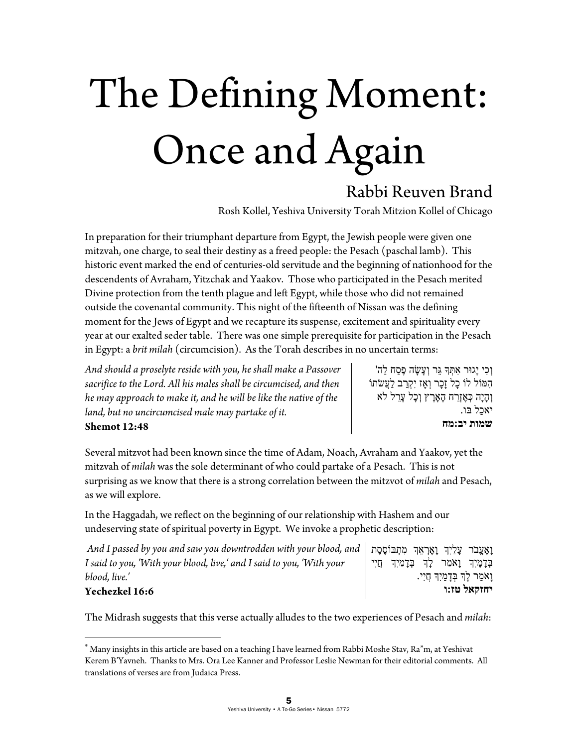# The Defining Moment: Once and Again

## Rabbi Reuven Brand

Rosh Kollel, Yeshiva University Torah Mitzion Kollel of Chicago

In preparation for their triumphant departure from Egypt, the Jewish people were given one mitzvah, one charge, to seal their destiny as a freed people: the Pesach (paschal lamb). This historic event marked the end of centuries-old servitude and the beginning of nationhood for the descendents of Avraham, Yitzchak and Yaakov. Those who participated in the Pesach merited Divine protection from the tenth plague and left Egypt, while those who did not remained outside the covenantal community. This night of the fifteenth of Nissan was the defining moment for the Jews of Egypt and we recapture its suspense, excitement and spirituality every year at our exalted seder table. There was one simple prerequisite for participation in the Pesach in Egypt: a *brit milah* (circumcision). As the Torah describes in no uncertain terms:

*And should a proselyte reside with you, he shall make a Passover sacrifice to the Lord. All his males shall be circumcised, and then he may approach to make it, and he will be like the native of the land, but no uncircumcised male may partake of it.*  **Shemot 12:48** 

וְכִי יַגוּר אִתְּךָ גֵּר וְעֲשָׂה פֶסַח לַה' לוֹהִ מּ וֹל כָל זָכָר וְאָז יִקְ רַ ב **ֹ** לַעֲשׂ וֹת וְהָיָה כְּ אֶ זְרַ ח הָאָרֶ ץ וְכָל עָרֵ ל **ֹ**לא **ֹ**יאכַל בּו. **שמות יב:מח**

 $\overline{a}$ 

Several mitzvot had been known since the time of Adam, Noach, Avraham and Yaakov, yet the mitzvah of *milah* was the sole determinant of who could partake of a Pesach. This is not surprising as we know that there is a strong correlation between the mitzvot of *milah* and Pesach, as we will explore.

In the Haggadah, we reflect on the beginning of our relationship with Hashem and our undeserving state of spiritual poverty in Egypt. We invoke a prophetic description:

| And I passed by you and saw you downtrodden with your blood, and   מִאֲצֶבֹר עָלַיִךְ נְאֶרְאֵךְ מִתְבּוֹסֶסֶת |  |  |                                           |
|----------------------------------------------------------------------------------------------------------------|--|--|-------------------------------------------|
| I said to you, 'With your blood, live,' and I said to you, 'With your                                          |  |  | בְּדָמָיִךְ וָאֹמַר לָךְ בִּדָמַיִךְ חֵיי |
| blood, live.'                                                                                                  |  |  | ַוָאמַר לָךְ בְּדָמַיִךְ חֲיִי.           |
| <b>Yechezkel 16:6</b>                                                                                          |  |  | יחזקאל טז:ו                               |

The Midrash suggests that this verse actually alludes to the two experiences of Pesach and *milah*:

 Many insights in this article are based on a teaching I have learned from Rabbi Moshe Stav, Ra"m, at Yeshivat Kerem B'Yavneh. Thanks to Mrs. Ora Lee Kanner and Professor Leslie Newman for their editorial comments. All translations of verses are from Judaica Press.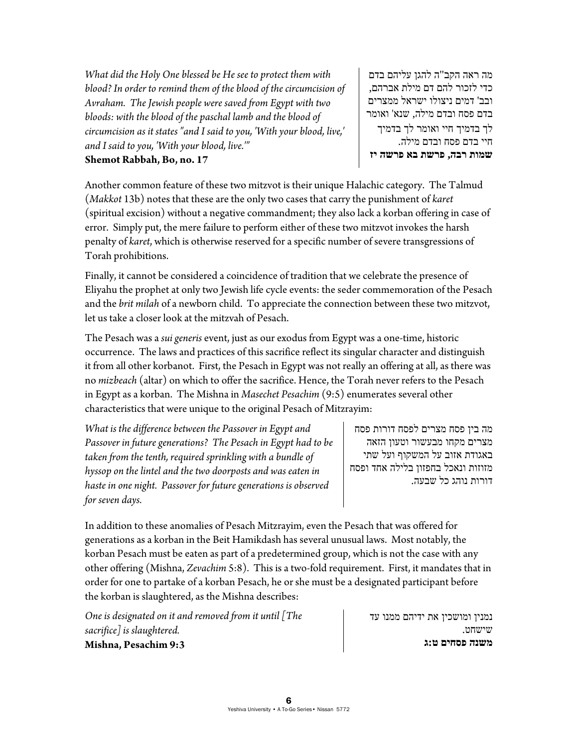*What did the Holy One blessed be He see to protect them with blood? In order to remind them of the blood of the circumcision of Avraham. The Jewish people were saved from Egypt with two bloods: with the blood of the paschal lamb and the blood of circumcision as it states "and I said to you, 'With your blood, live,' and I said to you, 'With your blood, live.'"*  **Shemot Rabbah, Bo, no. 17** 

מה ראה הקב"ה להגן עליהם בדם כדי לזכור להם דם מילת אברהם, ובב' דמים ניצולו ישראל ממצרים בדם פסח ובדם מילה, שנא' ואומר לך בדמיך חיי ואומר לך בדמיך חיי בדם פסח ובדם מילה. **שמות רבה, פרשת בא פרשה יז** 

Another common feature of these two mitzvot is their unique Halachic category. The Talmud (*Makkot* 13b) notes that these are the only two cases that carry the punishment of *karet* (spiritual excision) without a negative commandment; they also lack a korban offering in case of error. Simply put, the mere failure to perform either of these two mitzvot invokes the harsh penalty of *karet*, which is otherwise reserved for a specific number of severe transgressions of Torah prohibitions.

Finally, it cannot be considered a coincidence of tradition that we celebrate the presence of Eliyahu the prophet at only two Jewish life cycle events: the seder commemoration of the Pesach and the *brit milah* of a newborn child. To appreciate the connection between these two mitzvot, let us take a closer look at the mitzvah of Pesach.

The Pesach was a *sui generis* event, just as our exodus from Egypt was a one-time, historic occurrence. The laws and practices of this sacrifice reflect its singular character and distinguish it from all other korbanot. First, the Pesach in Egypt was not really an offering at all, as there was no *mizbeach* (altar) on which to offer the sacrifice. Hence, the Torah never refers to the Pesach in Egypt as a korban. The Mishna in *Masechet Pesachim* (9:5) enumerates several other characteristics that were unique to the original Pesach of Mitzrayim:

*What is the difference between the Passover in Egypt and Passover in future generations? The Pesach in Egypt had to be taken from the tenth, required sprinkling with a bundle of hyssop on the lintel and the two doorposts and was eaten in haste in one night. Passover for future generations is observed for seven days.* 

מה בין פסח מצרים לפסח דורות פסח מצרים מקחו מבעשור וטעון הזאה באגודת אזוב על המשקוף ועל שתי מזוזות ונאכל בחפזון בלילה אחד ופסח דורות נוהג כל שבעה.

In addition to these anomalies of Pesach Mitzrayim, even the Pesach that was offered for generations as a korban in the Beit Hamikdash has several unusual laws. Most notably, the korban Pesach must be eaten as part of a predetermined group, which is not the case with any other offering (Mishna, *Zevachim* 5:8). This is a two-fold requirement. First, it mandates that in order for one to partake of a korban Pesach, he or she must be a designated participant before the korban is slaughtered, as the Mishna describes:

*One is designated on it and removed from it until [The sacrifice] is slaughtered.* **Mishna, Pesachim 9:3**

נמנין ומושכין את ידיהם ממנו עד שישחט. **משנה פסחים ט:ג**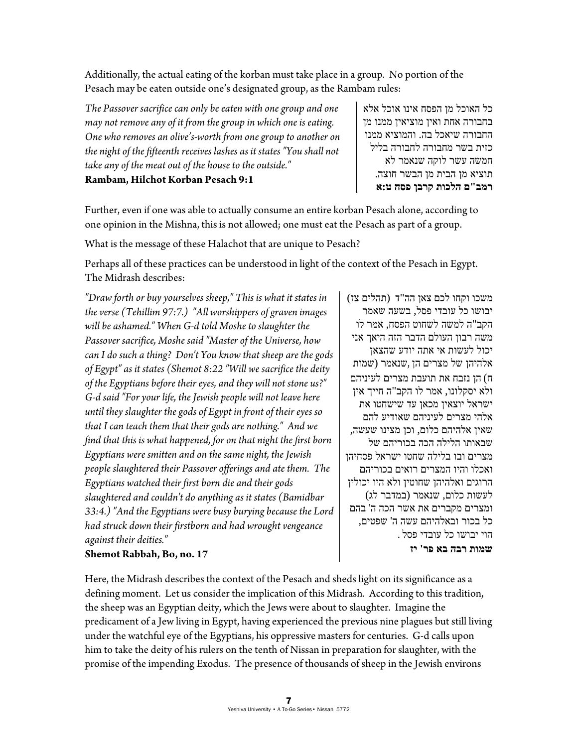Additionally, the actual eating of the korban must take place in a group. No portion of the Pesach may be eaten outside one's designated group, as the Rambam rules:

*The Passover sacrifice can only be eaten with one group and one may not remove any of it from the group in which one is eating. One who removes an olive's-worth from one group to another on the night of the fifteenth receives lashes as it states "You shall not take any of the meat out of the house to the outside."* 

כל האוכל מן הפסח אינו אוכל אלא בחבורה אחת ואין מוציאין ממנו מן החבורה שיאכל בה. והמוציא ממנו כזית בשר מחבורה לחבורה בליל חמשה עשר לוקה שנאמר לא תוציא מן הבית מן הבשר חוצה. **רמב"ם הלכות קרבן פסח ט:א** 

**Rambam, Hilchot Korban Pesach 9:1**

Further, even if one was able to actually consume an entire korban Pesach alone, according to one opinion in the Mishna, this is not allowed; one must eat the Pesach as part of a group.

What is the message of these Halachot that are unique to Pesach?

Perhaps all of these practices can be understood in light of the context of the Pesach in Egypt. The Midrash describes:

*"Draw forth or buy yourselves sheep," This is what it states in the verse (Tehillim 97:7.) "All worshippers of graven images will be ashamed." When G-d told Moshe to slaughter the Passover sacrifice, Moshe said "Master of the Universe, how can I do such a thing? Don't You know that sheep are the gods of Egypt" as it states (Shemot 8:22 "Will we sacrifice the deity of the Egyptians before their eyes, and they will not stone us?" G-d said "For your life, the Jewish people will not leave here until they slaughter the gods of Egypt in front of their eyes so that I can teach them that their gods are nothing." And we find that this is what happened, for on that night the first born Egyptians were smitten and on the same night, the Jewish people slaughtered their Passover offerings and ate them. The Egyptians watched their first born die and their gods slaughtered and couldn't do anything as it states (Bamidbar 33:4.) "And the Egyptians were busy burying because the Lord had struck down their firstborn and had wrought vengeance against their deities."* 

## משכו וקחו לכם צאן הה"ד (תהלים צז) יבושו כל עובדי פסל, בשעה שאמר הקב"ה למשה לשחוט הפסח, אמר לו משה רבון העולם הדבר הזה היאך אני יכול לעשות אי אתה יודע שהצאן אלהיהן של מצרים הן ,שנאמר ( שמות ח) הן נזבח את תועבת מצרים לעיניהם ולא יסקלונו, אמר לו הקב"ה חייך אין ישראל יוצאין מכאן עד שישחטו את אלהי מצרים לעיניהם שאודיע להם שאין אלהיהם כלום, וכן מצינו שעשה, שבאותו הלילה הכה בכוריהם של מצרים ובו בלילה שחטו ישראל פסחיהן ואכלו והיו המצרים רואים בכוריהם הרוגים ואלהיהן שחוטין ולא היו יכולין לעשות כלום, שנאמר ( במדבר לג) ומצרים מקברים את אשר הכה ה' בהם כל בכור ובאלהיהם עשה ה' שפטים, הוי יבושו כל עובדי פסל .

**שמות רבה בא פר' יז** 

**Shemot Rabbah, Bo, no. 17**

Here, the Midrash describes the context of the Pesach and sheds light on its significance as a defining moment. Let us consider the implication of this Midrash. According to this tradition, the sheep was an Egyptian deity, which the Jews were about to slaughter. Imagine the predicament of a Jew living in Egypt, having experienced the previous nine plagues but still living under the watchful eye of the Egyptians, his oppressive masters for centuries. G-d calls upon him to take the deity of his rulers on the tenth of Nissan in preparation for slaughter, with the promise of the impending Exodus. The presence of thousands of sheep in the Jewish environs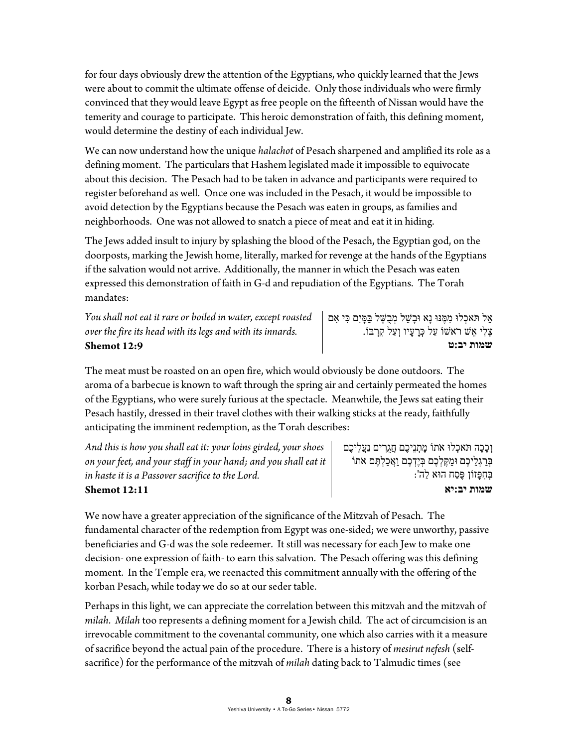for four days obviously drew the attention of the Egyptians, who quickly learned that the Jews were about to commit the ultimate offense of deicide. Only those individuals who were firmly convinced that they would leave Egypt as free people on the fifteenth of Nissan would have the temerity and courage to participate. This heroic demonstration of faith, this defining moment, would determine the destiny of each individual Jew.

We can now understand how the unique *halachot* of Pesach sharpened and amplified its role as a defining moment. The particulars that Hashem legislated made it impossible to equivocate about this decision. The Pesach had to be taken in advance and participants were required to register beforehand as well. Once one was included in the Pesach, it would be impossible to avoid detection by the Egyptians because the Pesach was eaten in groups, as families and neighborhoods. One was not allowed to snatch a piece of meat and eat it in hiding.

The Jews added insult to injury by splashing the blood of the Pesach, the Egyptian god, on the doorposts, marking the Jewish home, literally, marked for revenge at the hands of the Egyptians if the salvation would not arrive. Additionally, the manner in which the Pesach was eaten expressed this demonstration of faith in G-d and repudiation of the Egyptians. The Torah mandates:

*You shall not eat it rare or boiled in water, except roasted over the fire its head with its legs and with its innards.*  **Shemot 12:9** 

אַל **ֹ**תּ ְאכלוּ מִ מֶּנּוּ נָא וּבָשֵׁ ל מְ בֻשָּׁ ל בַּמָּ יִם כִּ י אִ ם צְ לִ י אֵ שׁ **ֹ**ראשׁוֹ עַל כְּ רָ עָיו וְעַל וֹקִ רְ בּ . **שמות יב:ט**

The meat must be roasted on an open fire, which would obviously be done outdoors. The aroma of a barbecue is known to waft through the spring air and certainly permeated the homes of the Egyptians, who were surely furious at the spectacle. Meanwhile, the Jews sat eating their Pesach hastily, dressed in their travel clothes with their walking sticks at the ready, faithfully anticipating the imminent redemption, as the Torah describes:

*And this is how you shall eat it: your loins girded, your shoes on your feet, and your staff in your hand; and you shall eat it in haste it is a Passover sacrifice to the Lord.*  **Shemot 12:11**

וְכָכָה **ֹ**תּ ְאכלוּ **ֹ**א וֹת מָ תְ נֵיכֶם חֲגֻרִ ים נַעֲלֵיכֶם בְּ רַ גְלֵיכֶם וּמַ קֶּ לְ כֶם בְּ יֶדְ כֶם וַאֲכַלְ תֶּ ם **ֹ**א וֹת בְּחָפָּזוֹן פֶּסַח הוּא לַה': **שמות יב:יא**

We now have a greater appreciation of the significance of the Mitzvah of Pesach. The fundamental character of the redemption from Egypt was one-sided; we were unworthy, passive beneficiaries and G-d was the sole redeemer. It still was necessary for each Jew to make one decision- one expression of faith- to earn this salvation. The Pesach offering was this defining moment. In the Temple era, we reenacted this commitment annually with the offering of the korban Pesach, while today we do so at our seder table.

Perhaps in this light, we can appreciate the correlation between this mitzvah and the mitzvah of *milah*. *Milah* too represents a defining moment for a Jewish child. The act of circumcision is an irrevocable commitment to the covenantal community, one which also carries with it a measure of sacrifice beyond the actual pain of the procedure. There is a history of *mesirut nefesh* (selfsacrifice) for the performance of the mitzvah of *milah* dating back to Talmudic times (see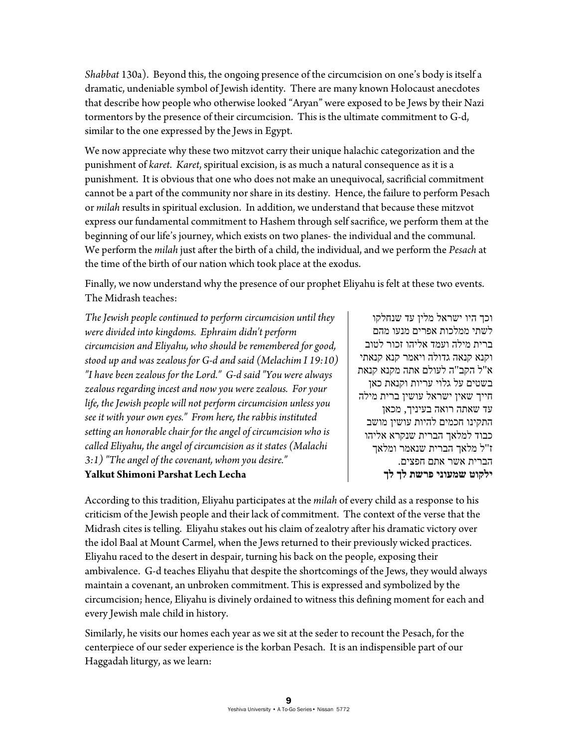*Shabbat* 130a). Beyond this, the ongoing presence of the circumcision on one's body is itself a dramatic, undeniable symbol of Jewish identity. There are many known Holocaust anecdotes that describe how people who otherwise looked "Aryan" were exposed to be Jews by their Nazi tormentors by the presence of their circumcision. This is the ultimate commitment to G-d, similar to the one expressed by the Jews in Egypt.

We now appreciate why these two mitzvot carry their unique halachic categorization and the punishment of *karet*. *Karet*, spiritual excision, is as much a natural consequence as it is a punishment. It is obvious that one who does not make an unequivocal, sacrificial commitment cannot be a part of the community nor share in its destiny. Hence, the failure to perform Pesach or *milah* results in spiritual exclusion. In addition, we understand that because these mitzvot express our fundamental commitment to Hashem through self sacrifice, we perform them at the beginning of our life's journey, which exists on two planes- the individual and the communal. We perform the *milah* just after the birth of a child, the individual, and we perform the *Pesach* at the time of the birth of our nation which took place at the exodus.

Finally, we now understand why the presence of our prophet Eliyahu is felt at these two events. The Midrash teaches:

*The Jewish people continued to perform circumcision until they were divided into kingdoms. Ephraim didn't perform circumcision and Eliyahu, who should be remembered for good, stood up and was zealous for G-d and said (Melachim I 19:10) "I have been zealous for the Lord." G-d said "You were always zealous regarding incest and now you were zealous. For your life, the Jewish people will not perform circumcision unless you see it with your own eyes." From here, the rabbis instituted setting an honorable chair for the angel of circumcision who is called Eliyahu, the angel of circumcision as it states (Malachi 3:1) "The angel of the covenant, whom you desire."* 

### **Yalkut Shimoni Parshat Lech Lecha**

וכך היו ישראל מלין עד שנחלקו לשתי ממלכות אפרים מנעו מהם ברית מילה ועמד אליהו זכור לטוב וקנא קנאה גדולה ויאמר קנא קנאתי א"ל הקב"ה לעולם אתה מקנא קנאת בשטים על גלוי עריות וקנאת כאן חייך שאין ישראל עושין ברית מילה עד שאתה רואה בעיניך, מכאן התקינו חכמים להיות עושין מושב כבוד למלאך הברית שנקרא אליהו ז"ל מלאך הברית שנאמר ומלאך הברית אשר אתם חפצים. **ילקוט שמעוני פרשת לך לך**

According to this tradition, Eliyahu participates at the *milah* of every child as a response to his criticism of the Jewish people and their lack of commitment. The context of the verse that the Midrash cites is telling. Eliyahu stakes out his claim of zealotry after his dramatic victory over the idol Baal at Mount Carmel, when the Jews returned to their previously wicked practices. Eliyahu raced to the desert in despair, turning his back on the people, exposing their ambivalence. G-d teaches Eliyahu that despite the shortcomings of the Jews, they would always maintain a covenant, an unbroken commitment. This is expressed and symbolized by the circumcision; hence, Eliyahu is divinely ordained to witness this defining moment for each and every Jewish male child in history.

Similarly, he visits our homes each year as we sit at the seder to recount the Pesach, for the centerpiece of our seder experience is the korban Pesach. It is an indispensible part of our Haggadah liturgy, as we learn: